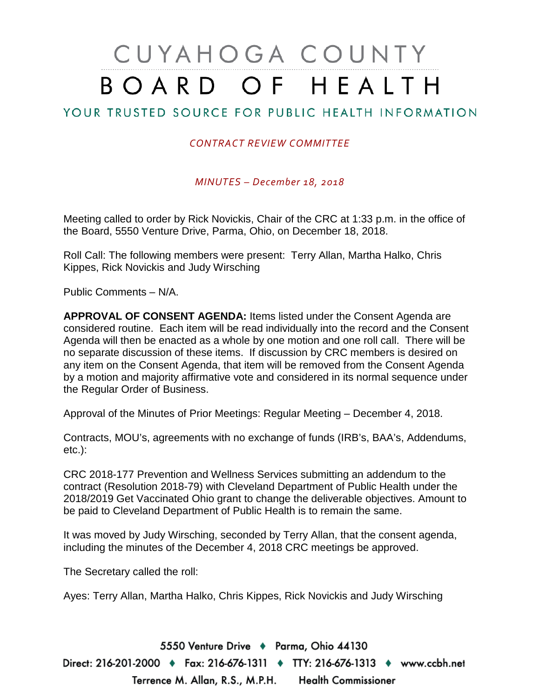# CUYAHOGA COUNTY BOARD OF HEALTH

### YOUR TRUSTED SOURCE FOR PUBLIC HEALTH INFORMATION

#### *CONTRACT REVIEW COMMITTEE*

*MINUTES – December 18, 2018*

Meeting called to order by Rick Novickis, Chair of the CRC at 1:33 p.m. in the office of the Board, 5550 Venture Drive, Parma, Ohio, on December 18, 2018.

Roll Call: The following members were present: Terry Allan, Martha Halko, Chris Kippes, Rick Novickis and Judy Wirsching

Public Comments – N/A.

**APPROVAL OF CONSENT AGENDA:** Items listed under the Consent Agenda are considered routine. Each item will be read individually into the record and the Consent Agenda will then be enacted as a whole by one motion and one roll call. There will be no separate discussion of these items. If discussion by CRC members is desired on any item on the Consent Agenda, that item will be removed from the Consent Agenda by a motion and majority affirmative vote and considered in its normal sequence under the Regular Order of Business.

Approval of the Minutes of Prior Meetings: Regular Meeting – December 4, 2018.

Contracts, MOU's, agreements with no exchange of funds (IRB's, BAA's, Addendums, etc.):

CRC 2018-177 Prevention and Wellness Services submitting an addendum to the contract (Resolution 2018-79) with Cleveland Department of Public Health under the 2018/2019 Get Vaccinated Ohio grant to change the deliverable objectives. Amount to be paid to Cleveland Department of Public Health is to remain the same.

It was moved by Judy Wirsching, seconded by Terry Allan, that the consent agenda, including the minutes of the December 4, 2018 CRC meetings be approved.

The Secretary called the roll:

Ayes: Terry Allan, Martha Halko, Chris Kippes, Rick Novickis and Judy Wirsching

5550 Venture Drive + Parma, Ohio 44130 Direct: 216-201-2000 ♦ Fax: 216-676-1311 ♦ TTY: 216-676-1313 ♦ www.ccbh.net Terrence M. Allan, R.S., M.P.H. Health Commissioner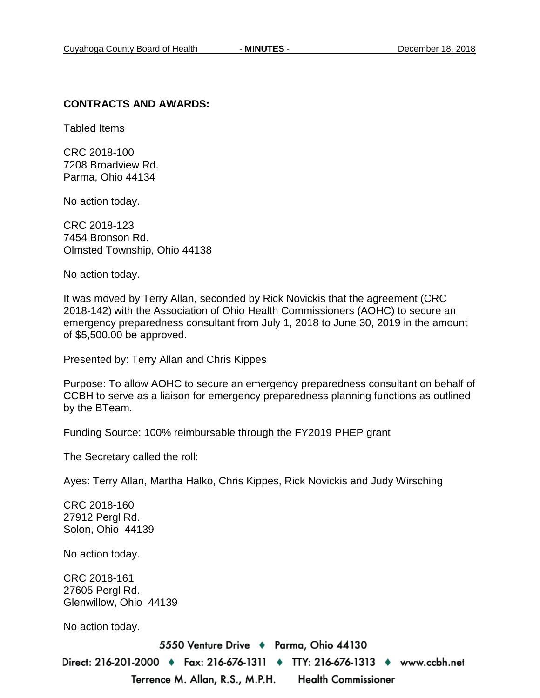#### **CONTRACTS AND AWARDS:**

Tabled Items

CRC 2018-100 7208 Broadview Rd. Parma, Ohio 44134

No action today.

CRC 2018-123 7454 Bronson Rd. Olmsted Township, Ohio 44138

No action today.

It was moved by Terry Allan, seconded by Rick Novickis that the agreement (CRC 2018-142) with the Association of Ohio Health Commissioners (AOHC) to secure an emergency preparedness consultant from July 1, 2018 to June 30, 2019 in the amount of \$5,500.00 be approved.

Presented by: Terry Allan and Chris Kippes

Purpose: To allow AOHC to secure an emergency preparedness consultant on behalf of CCBH to serve as a liaison for emergency preparedness planning functions as outlined by the BTeam.

Funding Source: 100% reimbursable through the FY2019 PHEP grant

The Secretary called the roll:

Ayes: Terry Allan, Martha Halko, Chris Kippes, Rick Novickis and Judy Wirsching

CRC 2018-160 27912 Pergl Rd. Solon, Ohio 44139

No action today.

CRC 2018-161 27605 Pergl Rd. Glenwillow, Ohio 44139

No action today.

5550 Venture Drive + Parma, Ohio 44130 Direct: 216-201-2000 ♦ Fax: 216-676-1311 ♦ TTY: 216-676-1313 ♦ www.ccbh.net Terrence M. Allan, R.S., M.P.H. **Health Commissioner**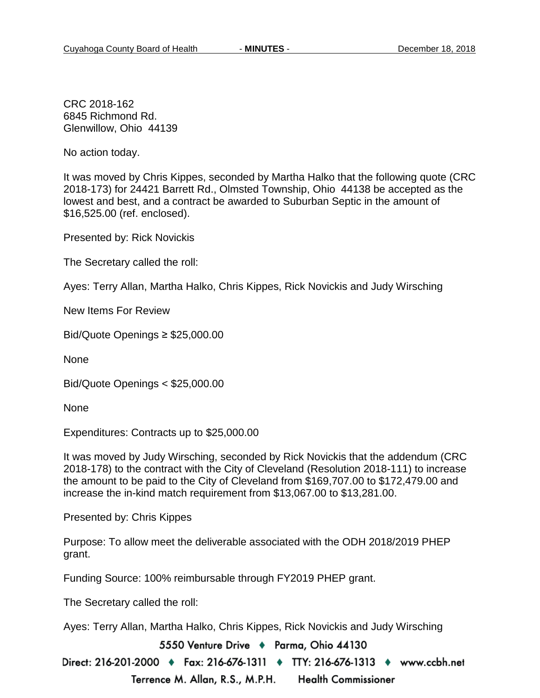CRC 2018-162 6845 Richmond Rd. Glenwillow, Ohio 44139

No action today.

It was moved by Chris Kippes, seconded by Martha Halko that the following quote (CRC 2018-173) for 24421 Barrett Rd., Olmsted Township, Ohio 44138 be accepted as the lowest and best, and a contract be awarded to Suburban Septic in the amount of \$16,525.00 (ref. enclosed).

Presented by: Rick Novickis

The Secretary called the roll:

Ayes: Terry Allan, Martha Halko, Chris Kippes, Rick Novickis and Judy Wirsching

New Items For Review

Bid/Quote Openings ≥ \$25,000.00

None

Bid/Quote Openings < \$25,000.00

None

Expenditures: Contracts up to \$25,000.00

It was moved by Judy Wirsching, seconded by Rick Novickis that the addendum (CRC 2018-178) to the contract with the City of Cleveland (Resolution 2018-111) to increase the amount to be paid to the City of Cleveland from \$169,707.00 to \$172,479.00 and increase the in-kind match requirement from \$13,067.00 to \$13,281.00.

Presented by: Chris Kippes

Purpose: To allow meet the deliverable associated with the ODH 2018/2019 PHEP grant.

Funding Source: 100% reimbursable through FY2019 PHEP grant.

The Secretary called the roll:

Ayes: Terry Allan, Martha Halko, Chris Kippes, Rick Novickis and Judy Wirsching

5550 Venture Drive + Parma, Ohio 44130

Direct: 216-201-2000 ♦ Fax: 216-676-1311 ♦ TTY: 216-676-1313 ♦ www.ccbh.net Terrence M. Allan, R.S., M.P.H. **Health Commissioner**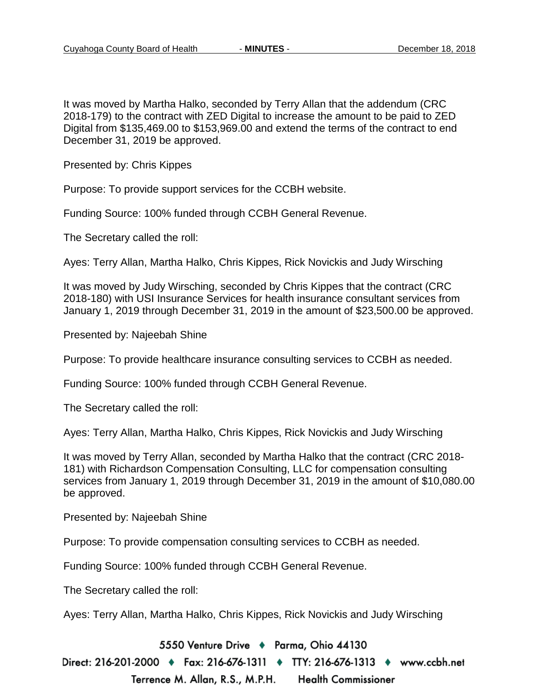It was moved by Martha Halko, seconded by Terry Allan that the addendum (CRC 2018-179) to the contract with ZED Digital to increase the amount to be paid to ZED Digital from \$135,469.00 to \$153,969.00 and extend the terms of the contract to end December 31, 2019 be approved.

Presented by: Chris Kippes

Purpose: To provide support services for the CCBH website.

Funding Source: 100% funded through CCBH General Revenue.

The Secretary called the roll:

Ayes: Terry Allan, Martha Halko, Chris Kippes, Rick Novickis and Judy Wirsching

It was moved by Judy Wirsching, seconded by Chris Kippes that the contract (CRC 2018-180) with USI Insurance Services for health insurance consultant services from January 1, 2019 through December 31, 2019 in the amount of \$23,500.00 be approved.

Presented by: Najeebah Shine

Purpose: To provide healthcare insurance consulting services to CCBH as needed.

Funding Source: 100% funded through CCBH General Revenue.

The Secretary called the roll:

Ayes: Terry Allan, Martha Halko, Chris Kippes, Rick Novickis and Judy Wirsching

It was moved by Terry Allan, seconded by Martha Halko that the contract (CRC 2018- 181) with Richardson Compensation Consulting, LLC for compensation consulting services from January 1, 2019 through December 31, 2019 in the amount of \$10,080.00 be approved.

Presented by: Najeebah Shine

Purpose: To provide compensation consulting services to CCBH as needed.

Funding Source: 100% funded through CCBH General Revenue.

The Secretary called the roll:

Ayes: Terry Allan, Martha Halko, Chris Kippes, Rick Novickis and Judy Wirsching

5550 Venture Drive + Parma, Ohio 44130

Direct: 216-201-2000 ♦ Fax: 216-676-1311 ♦ TTY: 216-676-1313 ♦ www.ccbh.net Terrence M. Allan, R.S., M.P.H. **Health Commissioner**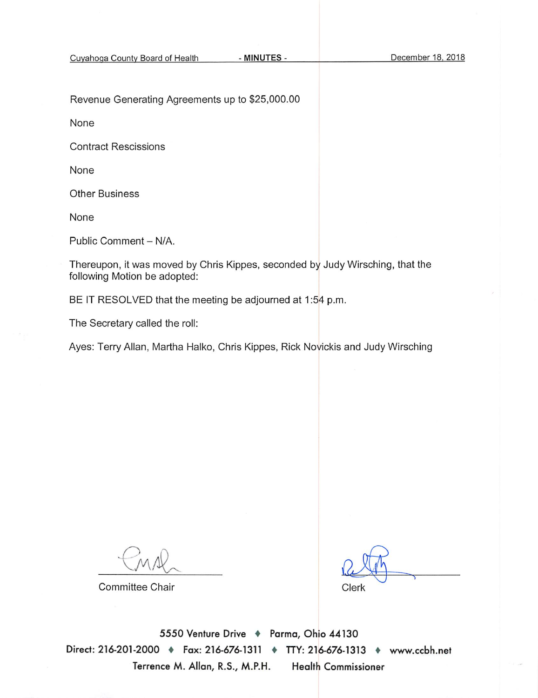Revenue Generating Agreements up to \$25,000.00

None

**Contract Rescissions** 

None

**Other Business** 

None

Public Comment - N/A.

Thereupon, it was moved by Chris Kippes, seconded by Judy Wirsching, that the following Motion be adopted:

BE IT RESOLVED that the meeting be adjourned at 1:54 p.m.

The Secretary called the roll:

Ayes: Terry Allan, Martha Halko, Chris Kippes, Rick Novickis and Judy Wirsching

**Committee Chair** 

Clerk

5550 Venture Drive + Parma, Ohio 44130 Direct: 216-201-2000 + Fax: 216-676-1311 + TTY: 216-676-1313 + www.ccbh.net Terrence M. Allan, R.S., M.P.H. **Health Commissioner**